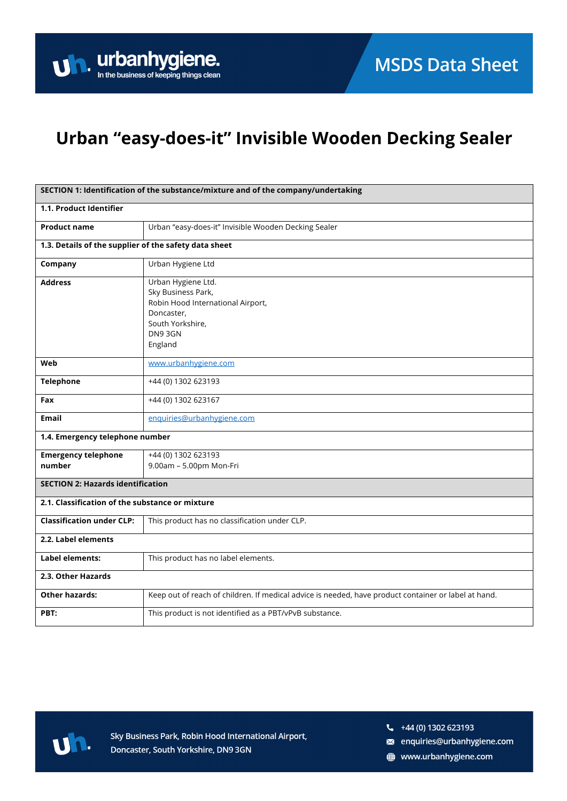## Urban "easy-does-it" Invisible Wooden Decking Sealer

| SECTION 1: Identification of the substance/mixture and of the company/undertaking |                                                                                                                                      |  |
|-----------------------------------------------------------------------------------|--------------------------------------------------------------------------------------------------------------------------------------|--|
| 1.1. Product Identifier                                                           |                                                                                                                                      |  |
| <b>Product name</b>                                                               | Urban "easy-does-it" Invisible Wooden Decking Sealer                                                                                 |  |
| 1.3. Details of the supplier of the safety data sheet                             |                                                                                                                                      |  |
| Company                                                                           | Urban Hygiene Ltd                                                                                                                    |  |
| <b>Address</b>                                                                    | Urban Hygiene Ltd.<br>Sky Business Park,<br>Robin Hood International Airport,<br>Doncaster,<br>South Yorkshire,<br>DN93GN<br>England |  |
| Web                                                                               | www.urbanhygiene.com                                                                                                                 |  |
| <b>Telephone</b>                                                                  | +44 (0) 1302 623193                                                                                                                  |  |
| Fax                                                                               | +44 (0) 1302 623167                                                                                                                  |  |
| <b>Email</b>                                                                      | enquiries@urbanhygiene.com                                                                                                           |  |
| 1.4. Emergency telephone number                                                   |                                                                                                                                      |  |
| <b>Emergency telephone</b><br>number                                              | +44 (0) 1302 623193<br>9.00am - 5.00pm Mon-Fri                                                                                       |  |
| <b>SECTION 2: Hazards identification</b>                                          |                                                                                                                                      |  |
| 2.1. Classification of the substance or mixture                                   |                                                                                                                                      |  |
| <b>Classification under CLP:</b>                                                  | This product has no classification under CLP.                                                                                        |  |
| 2.2. Label elements                                                               |                                                                                                                                      |  |
| <b>Label elements:</b>                                                            | This product has no label elements.                                                                                                  |  |
| 2.3. Other Hazards                                                                |                                                                                                                                      |  |
| <b>Other hazards:</b>                                                             | Keep out of reach of children. If medical advice is needed, have product container or label at hand.                                 |  |
| PBT:                                                                              | This product is not identified as a PBT/vPvB substance.                                                                              |  |



Sky Business Park, Robin Hood International Airport, Doncaster, South Yorkshire, DN9 3GN

- a enquiries@urbanhygiene.com
- www.urbanhygiene.com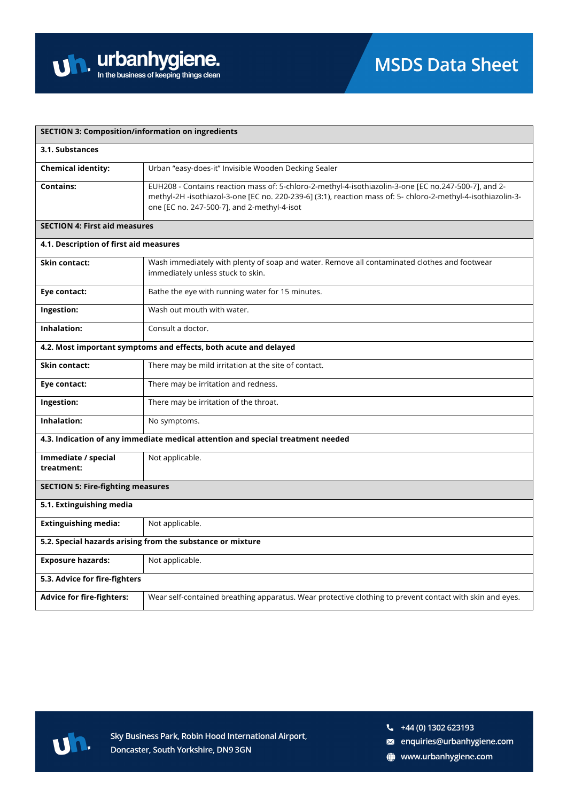| <b>SECTION 3: Composition/information on ingredients</b>         |                                                                                                                                                                                                                                                                     |  |
|------------------------------------------------------------------|---------------------------------------------------------------------------------------------------------------------------------------------------------------------------------------------------------------------------------------------------------------------|--|
| 3.1. Substances                                                  |                                                                                                                                                                                                                                                                     |  |
| <b>Chemical identity:</b>                                        | Urban "easy-does-it" Invisible Wooden Decking Sealer                                                                                                                                                                                                                |  |
| <b>Contains:</b>                                                 | EUH208 - Contains reaction mass of: 5-chloro-2-methyl-4-isothiazolin-3-one [EC no.247-500-7], and 2-<br>methyl-2H -isothiazol-3-one [EC no. 220-239-6] (3:1), reaction mass of: 5- chloro-2-methyl-4-isothiazolin-3-<br>one [EC no. 247-500-7], and 2-methyl-4-isot |  |
| <b>SECTION 4: First aid measures</b>                             |                                                                                                                                                                                                                                                                     |  |
| 4.1. Description of first aid measures                           |                                                                                                                                                                                                                                                                     |  |
| <b>Skin contact:</b>                                             | Wash immediately with plenty of soap and water. Remove all contaminated clothes and footwear<br>immediately unless stuck to skin.                                                                                                                                   |  |
| Eye contact:                                                     | Bathe the eye with running water for 15 minutes.                                                                                                                                                                                                                    |  |
| Ingestion:                                                       | Wash out mouth with water.                                                                                                                                                                                                                                          |  |
| Inhalation:                                                      | Consult a doctor.                                                                                                                                                                                                                                                   |  |
| 4.2. Most important symptoms and effects, both acute and delayed |                                                                                                                                                                                                                                                                     |  |
| <b>Skin contact:</b>                                             | There may be mild irritation at the site of contact.                                                                                                                                                                                                                |  |
| Eye contact:                                                     | There may be irritation and redness.                                                                                                                                                                                                                                |  |
| Ingestion:                                                       | There may be irritation of the throat.                                                                                                                                                                                                                              |  |
| Inhalation:                                                      | No symptoms.                                                                                                                                                                                                                                                        |  |
|                                                                  | 4.3. Indication of any immediate medical attention and special treatment needed                                                                                                                                                                                     |  |
| Immediate / special<br>treatment:                                | Not applicable.                                                                                                                                                                                                                                                     |  |
| <b>SECTION 5: Fire-fighting measures</b>                         |                                                                                                                                                                                                                                                                     |  |
| 5.1. Extinguishing media                                         |                                                                                                                                                                                                                                                                     |  |
| <b>Extinguishing media:</b>                                      | Not applicable.                                                                                                                                                                                                                                                     |  |
| 5.2. Special hazards arising from the substance or mixture       |                                                                                                                                                                                                                                                                     |  |
| <b>Exposure hazards:</b>                                         | Not applicable.                                                                                                                                                                                                                                                     |  |
| 5.3. Advice for fire-fighters                                    |                                                                                                                                                                                                                                                                     |  |
| <b>Advice for fire-fighters:</b>                                 | Wear self-contained breathing apparatus. Wear protective clothing to prevent contact with skin and eyes.                                                                                                                                                            |  |



- a enquiries@urbanhygiene.com
- www.urbanhygiene.com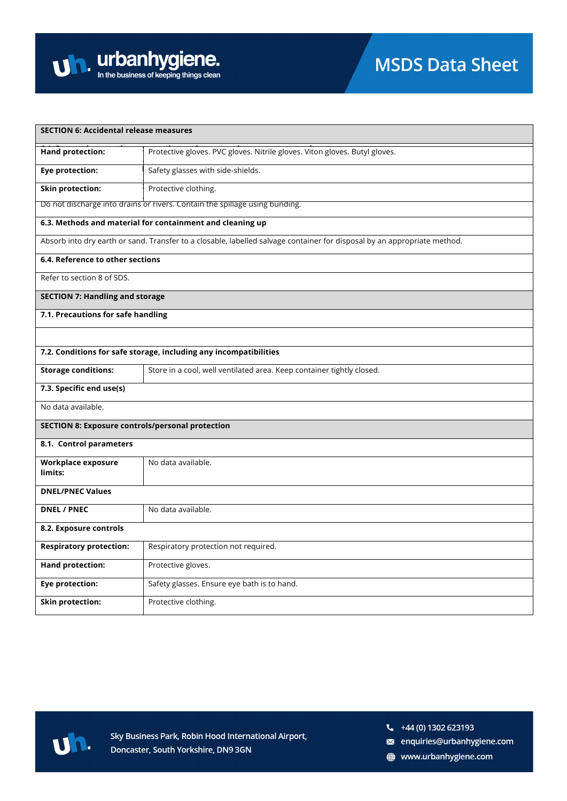

| <b>SECTION 6: Accidental release measures</b>                                                                            |                                                                             |  |  |
|--------------------------------------------------------------------------------------------------------------------------|-----------------------------------------------------------------------------|--|--|
| <b>Hand protection:</b>                                                                                                  | Protective gloves. PVC gloves. Nitrile gloves. Viton gloves. Butyl gloves.  |  |  |
| <b>Eye protection:</b>                                                                                                   | Safety glasses with side-shields.                                           |  |  |
| <b>Skin protection:</b>                                                                                                  | Protective clothing.                                                        |  |  |
|                                                                                                                          | Do not discharge into drains or rivers. Contain the spillage using bunding. |  |  |
| 6.3. Methods and material for containment and cleaning up                                                                |                                                                             |  |  |
| Absorb into dry earth or sand. Transfer to a closable, labelled salvage container for disposal by an appropriate method. |                                                                             |  |  |
| 6.4. Reference to other sections                                                                                         |                                                                             |  |  |
| Refer to section 8 of SDS.                                                                                               |                                                                             |  |  |
| <b>SECTION 7: Handling and storage</b>                                                                                   |                                                                             |  |  |
| 7.1. Precautions for safe handling                                                                                       |                                                                             |  |  |
|                                                                                                                          |                                                                             |  |  |
| 7.2. Conditions for safe storage, including any incompatibilities                                                        |                                                                             |  |  |
| <b>Storage conditions:</b>                                                                                               | Store in a cool, well ventilated area. Keep container tightly closed.       |  |  |
| 7.3. Specific end use(s)                                                                                                 |                                                                             |  |  |
| No data available.                                                                                                       |                                                                             |  |  |
| <b>SECTION 8: Exposure controls/personal protection</b>                                                                  |                                                                             |  |  |
| 8.1. Control parameters                                                                                                  |                                                                             |  |  |
| Workplace exposure<br>limits:                                                                                            | No data available.                                                          |  |  |
| <b>DNEL/PNEC Values</b>                                                                                                  |                                                                             |  |  |
| <b>DNEL / PNEC</b>                                                                                                       | No data available.                                                          |  |  |
|                                                                                                                          |                                                                             |  |  |
| 8.2. Exposure controls                                                                                                   |                                                                             |  |  |
| <b>Respiratory protection:</b>                                                                                           | Respiratory protection not required.                                        |  |  |
| <b>Hand protection:</b>                                                                                                  | Protective gloves.                                                          |  |  |
| <b>Eye protection:</b>                                                                                                   | Safety glasses. Ensure eye bath is to hand.                                 |  |  |
| <b>Skin protection:</b>                                                                                                  | Protective clothing.                                                        |  |  |



- a enquiries@urbanhygiene.com
- www.urbanhygiene.com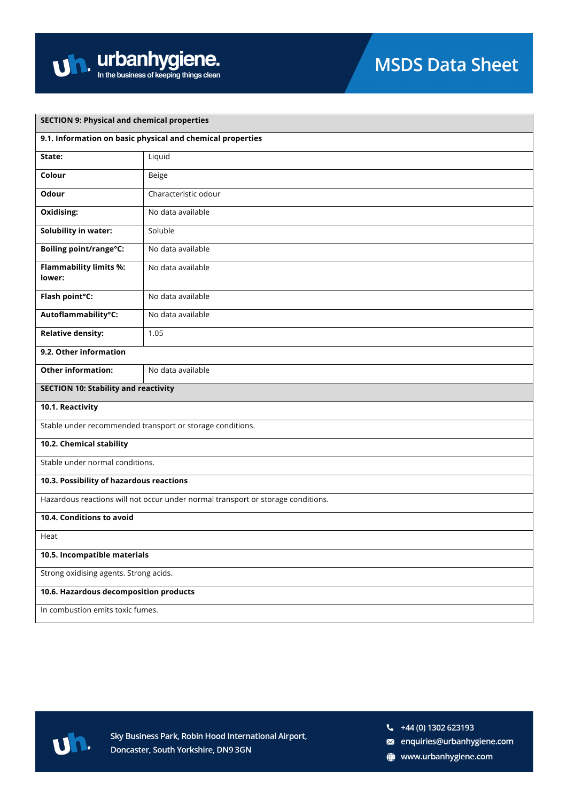

| <b>SECTION 9: Physical and chemical properties</b>                               |                                                           |  |
|----------------------------------------------------------------------------------|-----------------------------------------------------------|--|
| 9.1. Information on basic physical and chemical properties                       |                                                           |  |
| State:                                                                           | Liquid                                                    |  |
| Colour                                                                           | Beige                                                     |  |
| Odour                                                                            | Characteristic odour                                      |  |
| <b>Oxidising:</b>                                                                | No data available                                         |  |
| <b>Solubility in water:</b>                                                      | Soluble                                                   |  |
| <b>Boiling point/range°C:</b>                                                    | No data available                                         |  |
| <b>Flammability limits %:</b><br>lower:                                          | No data available                                         |  |
| Flash point°C:                                                                   | No data available                                         |  |
| Autoflammability°C:                                                              | No data available                                         |  |
| <b>Relative density:</b>                                                         | 1.05                                                      |  |
| 9.2. Other information                                                           |                                                           |  |
| <b>Other information:</b>                                                        | No data available                                         |  |
| <b>SECTION 10: Stability and reactivity</b>                                      |                                                           |  |
| 10.1. Reactivity                                                                 |                                                           |  |
|                                                                                  | Stable under recommended transport or storage conditions. |  |
| 10.2. Chemical stability                                                         |                                                           |  |
| Stable under normal conditions.                                                  |                                                           |  |
| 10.3. Possibility of hazardous reactions                                         |                                                           |  |
| Hazardous reactions will not occur under normal transport or storage conditions. |                                                           |  |
| 10.4. Conditions to avoid                                                        |                                                           |  |
| Heat                                                                             |                                                           |  |
| 10.5. Incompatible materials                                                     |                                                           |  |
| Strong oxidising agents. Strong acids.                                           |                                                           |  |
| 10.6. Hazardous decomposition products                                           |                                                           |  |
| In combustion emits toxic fumes.                                                 |                                                           |  |



- a enquiries@urbanhygiene.com
- www.urbanhygiene.com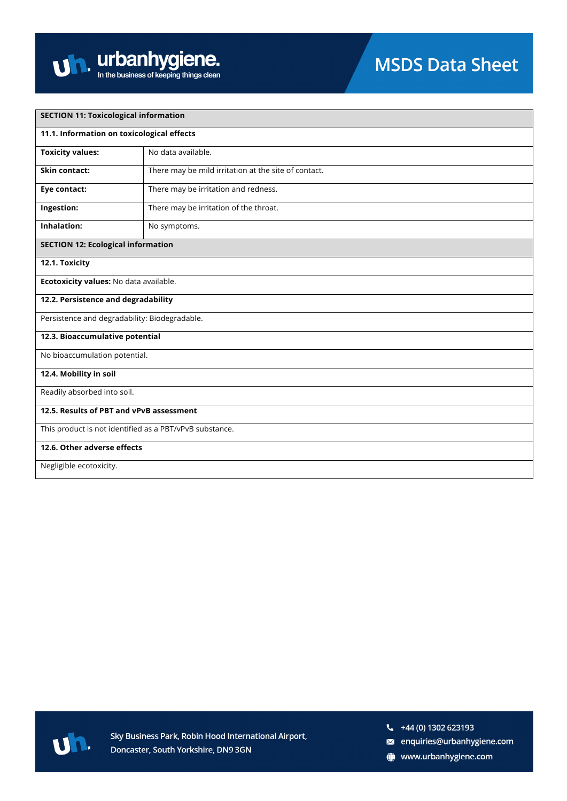| <b>SECTION 11: Toxicological information</b>            |                                                      |  |
|---------------------------------------------------------|------------------------------------------------------|--|
| 11.1. Information on toxicological effects              |                                                      |  |
| <b>Toxicity values:</b>                                 | No data available.                                   |  |
| Skin contact:                                           | There may be mild irritation at the site of contact. |  |
| Eye contact:                                            | There may be irritation and redness.                 |  |
| Ingestion:                                              | There may be irritation of the throat.               |  |
| Inhalation:                                             | No symptoms.                                         |  |
| <b>SECTION 12: Ecological information</b>               |                                                      |  |
| 12.1. Toxicity                                          |                                                      |  |
| Ecotoxicity values: No data available.                  |                                                      |  |
| 12.2. Persistence and degradability                     |                                                      |  |
| Persistence and degradability: Biodegradable.           |                                                      |  |
| 12.3. Bioaccumulative potential                         |                                                      |  |
| No bioaccumulation potential.                           |                                                      |  |
| 12.4. Mobility in soil                                  |                                                      |  |
| Readily absorbed into soil.                             |                                                      |  |
| 12.5. Results of PBT and vPvB assessment                |                                                      |  |
| This product is not identified as a PBT/vPvB substance. |                                                      |  |
| 12.6. Other adverse effects                             |                                                      |  |
| Negligible ecotoxicity.                                 |                                                      |  |



- a enquiries@urbanhygiene.com
- www.urbanhygiene.com